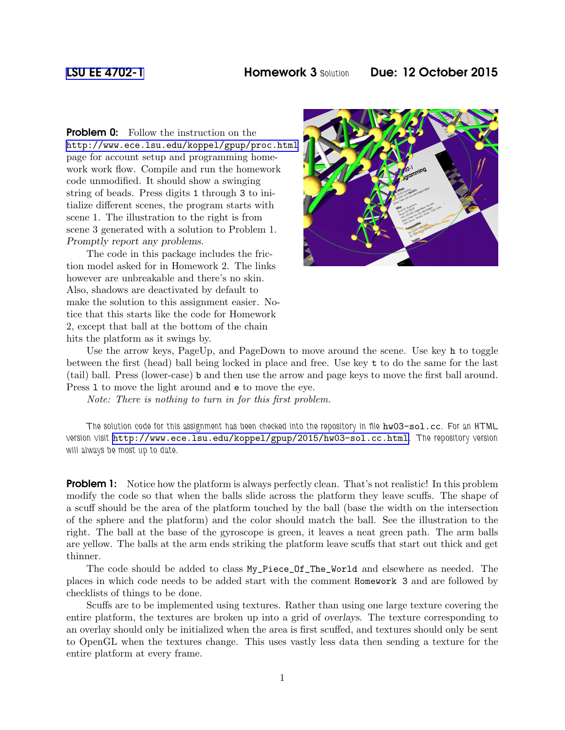**Problem 0:** Follow the instruction on the <http://www.ece.lsu.edu/koppel/gpup/proc.html> page for account setup and programming homework work flow. Compile and run the homework code unmodified. It should show a swinging string of beads. Press digits 1 through 3 to initialize different scenes, the program starts with scene 1. The illustration to the right is from scene 3 generated with a solution to Problem 1. Promptly report any problems.

The code in this package includes the friction model asked for in Homework 2. The links however are unbreakable and there's no skin. Also, shadows are deactivated by default to make the solution to this assignment easier. Notice that this starts like the code for Homework 2, except that ball at the bottom of the chain hits the platform as it swings by.



Use the arrow keys, PageUp, and PageDown to move around the scene. Use key h to toggle between the first (head) ball being locked in place and free. Use key t to do the same for the last (tail) ball. Press (lower-case) b and then use the arrow and page keys to move the first ball around. Press l to move the light around and e to move the eye.

Note: There is nothing to turn in for this first problem.

The solution code for this assignment has been checked into the repository in file  $hw03-sol.cc$ . For an HTML version visit <http://www.ece.lsu.edu/koppel/gpup/2015/hw03-sol.cc.html>. The repository version will always be most up to date.

**Problem 1:** Notice how the platform is always perfectly clean. That's not realistic! In this problem modify the code so that when the balls slide across the platform they leave scuffs. The shape of a scuff should be the area of the platform touched by the ball (base the width on the intersection of the sphere and the platform) and the color should match the ball. See the illustration to the right. The ball at the base of the gyroscope is green, it leaves a neat green path. The arm balls are yellow. The balls at the arm ends striking the platform leave scuffs that start out thick and get thinner.

The code should be added to class My\_Piece\_Of\_The\_World and elsewhere as needed. The places in which code needs to be added start with the comment Homework 3 and are followed by checklists of things to be done.

Scuffs are to be implemented using textures. Rather than using one large texture covering the entire platform, the textures are broken up into a grid of overlays. The texture corresponding to an overlay should only be initialized when the area is first scuffed, and textures should only be sent to OpenGL when the textures change. This uses vastly less data then sending a texture for the entire platform at every frame.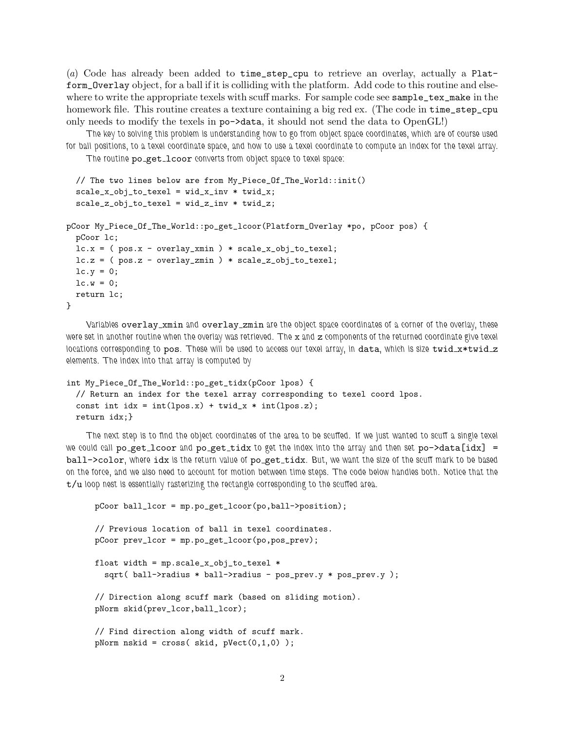(a) Code has already been added to time\_step\_cpu to retrieve an overlay, actually a Platform\_Overlay object, for a ball if it is colliding with the platform. Add code to this routine and elsewhere to write the appropriate texels with scuff marks. For sample code see sample\_tex\_make in the homework file. This routine creates a texture containing a big red ex. (The code in time\_step\_cpu only needs to modify the texels in po->data, it should not send the data to OpenGL!)

The key to solving this problem is understanding how to go from object space coordinates, which are of course used for ball positions, to a texel coordinate space, and how to use a texel coordinate to compute an index for the texel array.

The routine po\_get\_lcoor converts from object space to texel space:

```
// The two lines below are from My_Piece_Of_The_World::init()
  scale_x_obj_to_texel = wid_x_inv * twid_x;scale_z_obj_to_texel = wid_z_inv * twid_z;
pCoor My_Piece_Of_The_World::po_get_lcoor(Platform_Overlay *po, pCoor pos) {
 pCoor lc;
 lc.x = (pos.x - overlap\_xmin) * scale_x(obj_to_texel;lc.z = (pos.z - overlap_zmin) * scale_zobj_to_texel;lc.y = 0;lc.w = 0;return lc;
}
```
Variables overlay\_xmin and overlay\_zmin are the object space coordinates of a corner of the overlay, these were set in another routine when the overlay was retrieved. The x and z components of the returned coordinate give texel locations corresponding to pos. These will be used to access our texel array, in data, which is size twid\_x\*twid\_z elements. The index into that array is computed by

```
int My_Piece_Of_The_World::po_get_tidx(pCoor lpos) {
  // Return an index for the texel array corresponding to texel coord lpos.
  const int idx = int(lpos.x) + twid_x * int(lpos.z);return idx;}
```
The next step is to find the object coordinates of the area to be scuffed. If we just wanted to scuff a single texel we could call po\_get\_lcoor and po\_get\_tidx to get the index into the array and then set po->data[idx] = ball->color, where idx is the return value of po\_get\_tidx. But, we want the size of the scuff mark to be based on the force, and we also need to account for motion between time steps. The code below handles both. Notice that the  $t/u$  loop nest is essentially rasterizing the rectangle corresponding to the scuffed area.

```
pCoor ball_lcor = mp.po_get_lcoor(po,ball->position);
// Previous location of ball in texel coordinates.
pCoor prev_lcor = mp.po_get_lcoor(po,pos_prev);
float width = mp.scale_x_obj_to_texel *
 sqrt( ball->radius * ball->radius - pos_prev.y * pos_prev.y );
// Direction along scuff mark (based on sliding motion).
pNorm skid(prev_lcor,ball_lcor);
// Find direction along width of scuff mark.
pNorm nskid = cross( skid, pVect(0,1,0) );
```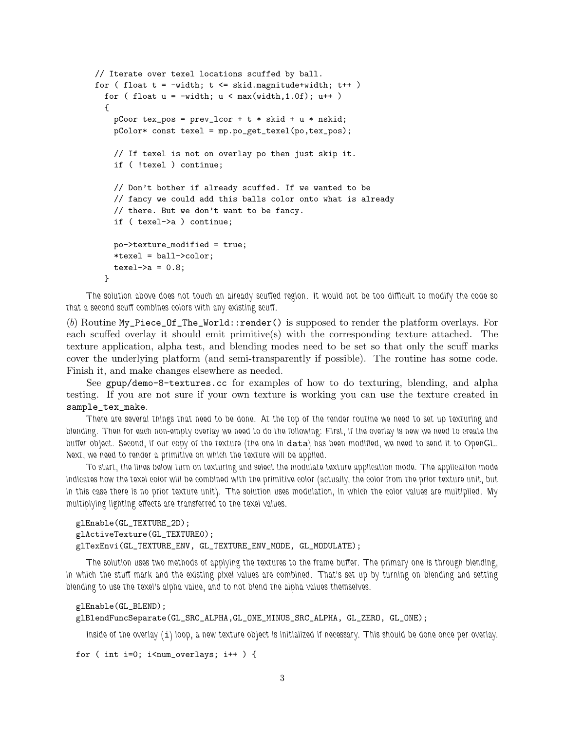```
// Iterate over texel locations scuffed by ball.
for ( float t = -width; t \leq skid.mainloop magnitude+width; t++ )
 for ( float u = -width; u < max(width, 1.0f); u++)
  {
    pCoor tex_pos = prev_lcor + t * skid + u * nskid;
    pColor* const texel = mp.po_get_texel(po,tex_pos);
    // If texel is not on overlay po then just skip it.
    if ( !texel ) continue;
    // Don't bother if already scuffed. If we wanted to be
    // fancy we could add this balls color onto what is already
    // there. But we don't want to be fancy.
    if ( texel->a ) continue;
    po->texture_modified = true;
    *texel = ball->color;
    textel->a = 0.8;
 }
```
The solution above does not touch an already scuffed region. It would not be too difficult to modify the code so that a second scuff combines colors with any existing scuff.

(b) Routine My\_Piece\_Of\_The\_World::render() is supposed to render the platform overlays. For each scuffed overlay it should emit primitive(s) with the corresponding texture attached. The texture application, alpha test, and blending modes need to be set so that only the scuff marks cover the underlying platform (and semi-transparently if possible). The routine has some code. Finish it, and make changes elsewhere as needed.

See gpup/demo-8-textures.cc for examples of how to do texturing, blending, and alpha testing. If you are not sure if your own texture is working you can use the texture created in sample\_tex\_make.

There are several things that need to be done. At the top of the render routine we need to set up texturing and blending. Then for each non-empty overlay we need to do the following: First, if the overlay is new we need to create the buffer object. Second, if our copy of the texture (the one in data) has been modified, we need to send it to OpenGL. Next, we need to render a primitive on which the texture will be applied.

To start, the lines below turn on texturing and select the modulate texture application mode. The application mode indicates how the texel color will be combined with the primitive color (actually, the color from the prior texture unit, but in this case there is no prior texture unit). The solution uses modulation, in which the color values are multiplied. My multiplying lighting effects are transferred to the texel values.

```
glEnable(GL_TEXTURE_2D);
glActiveTexture(GL_TEXTURE0);
glTexEnvi(GL_TEXTURE_ENV, GL_TEXTURE_ENV_MODE, GL_MODULATE);
```
The solution uses two methods of applying the textures to the frame buffer. The primary one is through blending, in which the stuff mark and the existing pixel values are combined. That's set up by turning on blending and setting blending to use the texel's alpha value, and to not blend the alpha values themselves.

```
glEnable(GL_BLEND);
```
glBlendFuncSeparate(GL\_SRC\_ALPHA,GL\_ONE\_MINUS\_SRC\_ALPHA, GL\_ZERO, GL\_ONE);

Inside of the overlay (i) loop, a new texture object is initialized if necessary. This should be done once per overlay.

```
for ( int i=0; i<num_overlays; i++ ) {
```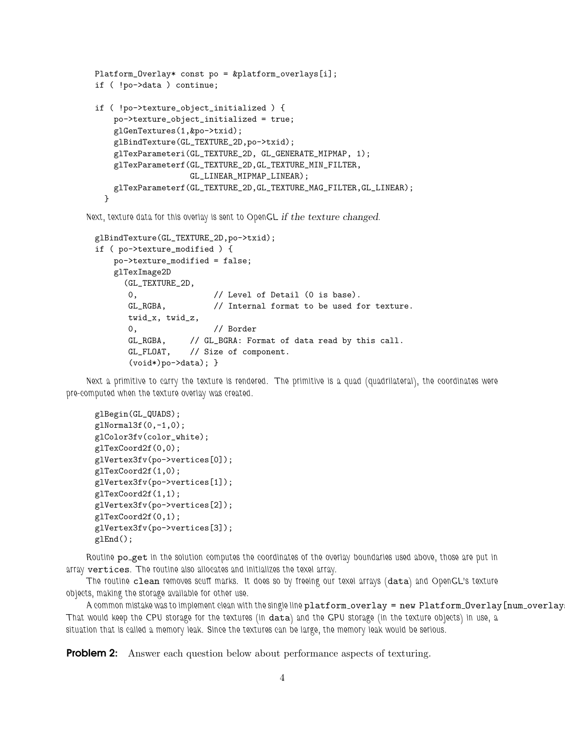```
Platform_Overlay* const po = &platform_overlays[i];
if ( !po->data ) continue;
if ( !po->texture_object_initialized ) {
   po->texture_object_initialized = true;
   glGenTextures(1,&po->txid);
   glBindTexture(GL_TEXTURE_2D,po->txid);
   glTexParameteri(GL_TEXTURE_2D, GL_GENERATE_MIPMAP, 1);
   glTexParameterf(GL_TEXTURE_2D,GL_TEXTURE_MIN_FILTER,
                    GL_LINEAR_MIPMAP_LINEAR);
   glTexParameterf(GL_TEXTURE_2D,GL_TEXTURE_MAG_FILTER,GL_LINEAR);
 }
```
Next, texture data for this overlay is sent to OpenGL if the texture changed.

```
glBindTexture(GL_TEXTURE_2D,po->txid);
if ( po->texture_modified ) {
   po->texture_modified = false;
   glTexImage2D
     (GL_TEXTURE_2D,
      0, \frac{1}{2} // Level of Detail (0 is base).
      GL_RGBA, // Internal format to be used for texture.
      twid_x, twid_z,
      0, // Border
      GL_RGBA, // GL_BGRA: Format of data read by this call.
      GL_FLOAT, // Size of component.
      (void*)po->data); }
```
Next a primitive to carry the texture is rendered. The primitive is a quad (quadrilateral), the coordinates were pre-computed when the texture overlay was created.

```
glBegin(GL_QUADS);
glNormal3f(0,-1,0);
glColor3fv(color_white);
glTexCoord2f(0,0);
glVertex3fv(po->vertices[0]);
glTexCoord2f(1,0);
glVertex3fv(po->vertices[1]);
glTexCoord2f(1,1);
glVertex3fv(po->vertices[2]);
glTexCoord2f(0,1);
glVertex3fv(po->vertices[3]);
glEnd();
```
Routine po\_get in the solution computes the coordinates of the overlay boundaries used above, those are put in array vertices. The routine also allocates and initializes the texel array.

The routine clean removes scuff marks. It does so by freeing our texel arrays (data) and OpenGL's texture objects, making the storage available for other use.

A common mistake was to implement clean with the single line platform\_overlay = new Platform\_Overlay [num\_overlay That would keep the CPU storage for the textures (in data) and the GPU storage (in the texture objects) in use, a situation that is called a memory leak. Since the textures can be large, the memory leak would be serious.

**Problem 2:** Answer each question below about performance aspects of texturing.